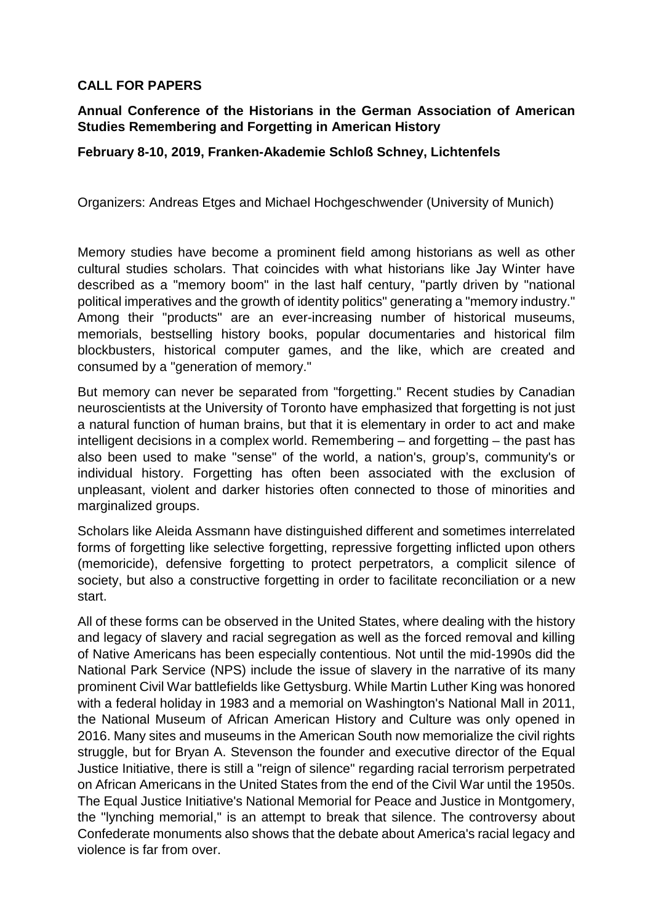## **CALL FOR PAPERS**

## **Annual Conference of the Historians in the German Association of American Studies Remembering and Forgetting in American History**

## **February 8-10, 2019, Franken-Akademie Schloß Schney, Lichtenfels**

Organizers: Andreas Etges and Michael Hochgeschwender (University of Munich)

Memory studies have become a prominent field among historians as well as other cultural studies scholars. That coincides with what historians like Jay Winter have described as a "memory boom" in the last half century, "partly driven by "national political imperatives and the growth of identity politics" generating a "memory industry." Among their "products" are an ever-increasing number of historical museums, memorials, bestselling history books, popular documentaries and historical film blockbusters, historical computer games, and the like, which are created and consumed by a "generation of memory."

But memory can never be separated from "forgetting." Recent studies by Canadian neuroscientists at the University of Toronto have emphasized that forgetting is not just a natural function of human brains, but that it is elementary in order to act and make intelligent decisions in a complex world. Remembering – and forgetting – the past has also been used to make "sense" of the world, a nation's, group's, community's or individual history. Forgetting has often been associated with the exclusion of unpleasant, violent and darker histories often connected to those of minorities and marginalized groups.

Scholars like Aleida Assmann have distinguished different and sometimes interrelated forms of forgetting like selective forgetting, repressive forgetting inflicted upon others (memoricide), defensive forgetting to protect perpetrators, a complicit silence of society, but also a constructive forgetting in order to facilitate reconciliation or a new start.

All of these forms can be observed in the United States, where dealing with the history and legacy of slavery and racial segregation as well as the forced removal and killing of Native Americans has been especially contentious. Not until the mid-1990s did the National Park Service (NPS) include the issue of slavery in the narrative of its many prominent Civil War battlefields like Gettysburg. While Martin Luther King was honored with a federal holiday in 1983 and a memorial on Washington's National Mall in 2011, the National Museum of African American History and Culture was only opened in 2016. Many sites and museums in the American South now memorialize the civil rights struggle, but for Bryan A. Stevenson the founder and executive director of the Equal Justice Initiative, there is still a "reign of silence" regarding racial terrorism perpetrated on African Americans in the United States from the end of the Civil War until the 1950s. The Equal Justice Initiative's National Memorial for Peace and Justice in Montgomery, the "lynching memorial," is an attempt to break that silence. The controversy about Confederate monuments also shows that the debate about America's racial legacy and violence is far from over.